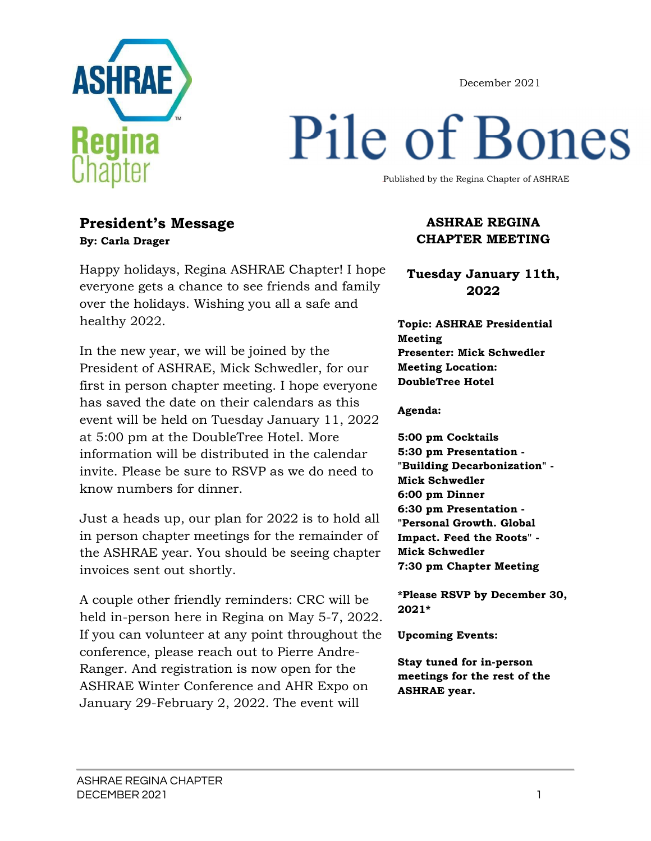December 2021



# Pile of Bones

Published by the Regina Chapter of ASHRAE

#### **President's Message By: Carla Drager**

Happy holidays, Regina ASHRAE Chapter! I hope everyone gets a chance to see friends and family over the holidays. Wishing you all a safe and healthy 2022.

In the new year, we will be joined by the President of ASHRAE, Mick Schwedler, for our first in person chapter meeting. I hope everyone has saved the date on their calendars as this event will be held on Tuesday January 11, 2022 at 5:00 pm at the DoubleTree Hotel. More information will be distributed in the calendar invite. Please be sure to RSVP as we do need to know numbers for dinner.

Just a heads up, our plan for 2022 is to hold all in person chapter meetings for the remainder of the ASHRAE year. You should be seeing chapter invoices sent out shortly.

A couple other friendly reminders: CRC will be held in-person here in Regina on May 5-7, 2022. If you can volunteer at any point throughout the conference, please reach out to Pierre Andre-Ranger. And registration is now open for the ASHRAE Winter Conference and AHR Expo on January 29-February 2, 2022. The event will

#### **ASHRAE REGINA CHAPTER MEETING**

**Tuesday January 11th, 2022** 

**Topic: ASHRAE Presidential Meeting Presenter: Mick Schwedler Meeting Location: DoubleTree Hotel** 

**Agenda:** 

**5:00 pm Cocktails 5:30 pm Presentation - "Building Decarbonization" - Mick Schwedler 6:00 pm Dinner 6:30 pm Presentation - "Personal Growth. Global Impact. Feed the Roots" - Mick Schwedler 7:30 pm Chapter Meeting** 

**\*Please RSVP by December 30, 2021\***

**Upcoming Events:** 

**Stay tuned for in-person meetings for the rest of the ASHRAE year.**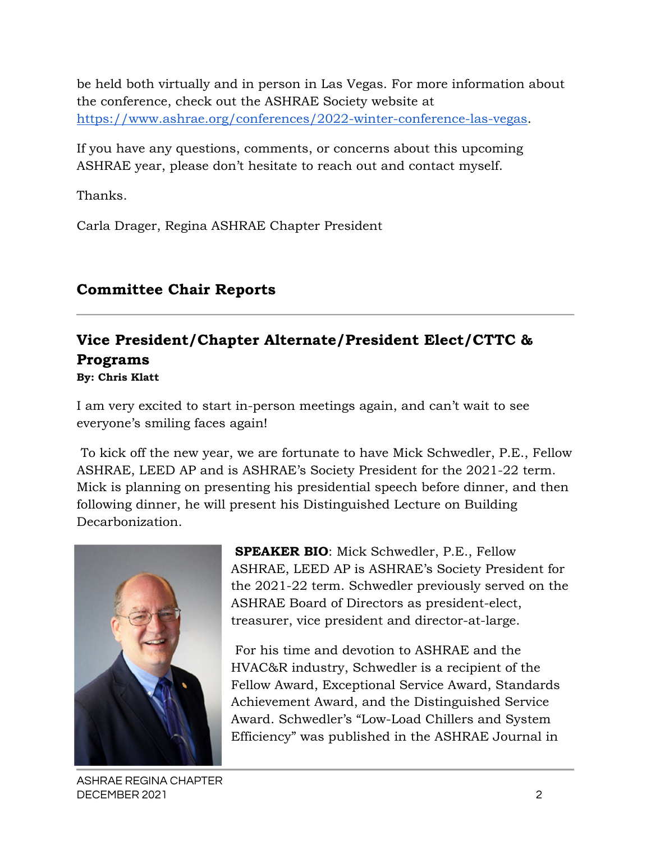be held both virtually and in person in Las Vegas. For more information about the conference, check out the ASHRAE Society website at https://www.ashrae.org/conferences/2022-winter-conference-las-vegas.

If you have any questions, comments, or concerns about this upcoming ASHRAE year, please don't hesitate to reach out and contact myself.

Thanks.

Carla Drager, Regina ASHRAE Chapter President

## **Committee Chair Reports**

# **Vice President/Chapter Alternate/President Elect/CTTC & Programs**

**By: Chris Klatt** 

I am very excited to start in-person meetings again, and can't wait to see everyone's smiling faces again!

 To kick off the new year, we are fortunate to have Mick Schwedler, P.E., Fellow ASHRAE, LEED AP and is ASHRAE's Society President for the 2021-22 term. Mick is planning on presenting his presidential speech before dinner, and then following dinner, he will present his Distinguished Lecture on Building Decarbonization.



**SPEAKER BIO**: Mick Schwedler, P.E., Fellow ASHRAE, LEED AP is ASHRAE's Society President for the 2021-22 term. Schwedler previously served on the ASHRAE Board of Directors as president-elect, treasurer, vice president and director-at-large.

 For his time and devotion to ASHRAE and the HVAC&R industry, Schwedler is a recipient of the Fellow Award, Exceptional Service Award, Standards Achievement Award, and the Distinguished Service Award. Schwedler's "Low-Load Chillers and System Efficiency" was published in the ASHRAE Journal in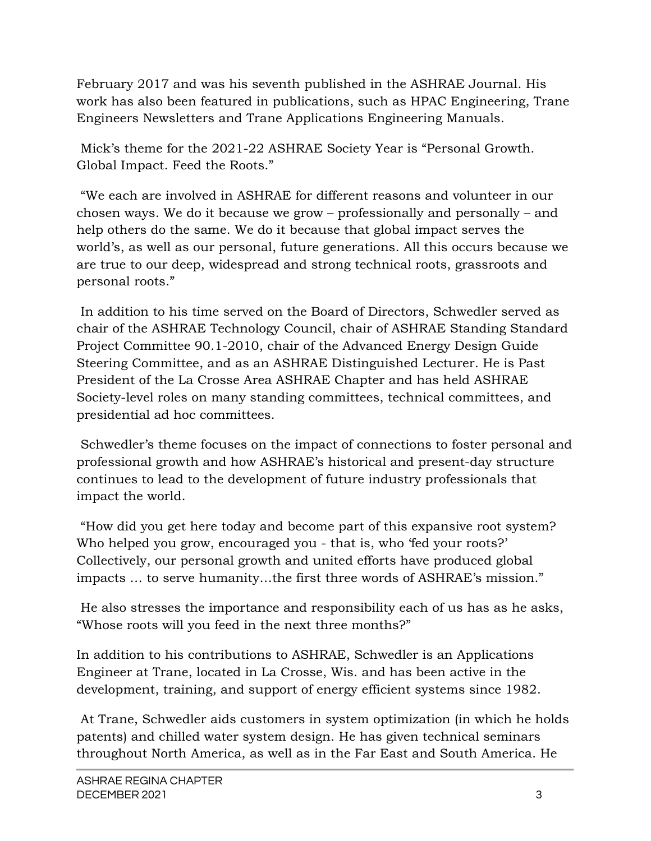February 2017 and was his seventh published in the ASHRAE Journal. His work has also been featured in publications, such as HPAC Engineering, Trane Engineers Newsletters and Trane Applications Engineering Manuals.

 Mick's theme for the 2021-22 ASHRAE Society Year is "Personal Growth. Global Impact. Feed the Roots."

 "We each are involved in ASHRAE for different reasons and volunteer in our chosen ways. We do it because we grow – professionally and personally – and help others do the same. We do it because that global impact serves the world's, as well as our personal, future generations. All this occurs because we are true to our deep, widespread and strong technical roots, grassroots and personal roots."

 In addition to his time served on the Board of Directors, Schwedler served as chair of the ASHRAE Technology Council, chair of ASHRAE Standing Standard Project Committee 90.1-2010, chair of the Advanced Energy Design Guide Steering Committee, and as an ASHRAE Distinguished Lecturer. He is Past President of the La Crosse Area ASHRAE Chapter and has held ASHRAE Society-level roles on many standing committees, technical committees, and presidential ad hoc committees.

 Schwedler's theme focuses on the impact of connections to foster personal and professional growth and how ASHRAE's historical and present-day structure continues to lead to the development of future industry professionals that impact the world.

 "How did you get here today and become part of this expansive root system? Who helped you grow, encouraged you - that is, who 'fed your roots?' Collectively, our personal growth and united efforts have produced global impacts … to serve humanity…the first three words of ASHRAE's mission."

 He also stresses the importance and responsibility each of us has as he asks, "Whose roots will you feed in the next three months?"

In addition to his contributions to ASHRAE, Schwedler is an Applications Engineer at Trane, located in La Crosse, Wis. and has been active in the development, training, and support of energy efficient systems since 1982.

 At Trane, Schwedler aids customers in system optimization (in which he holds patents) and chilled water system design. He has given technical seminars throughout North America, as well as in the Far East and South America. He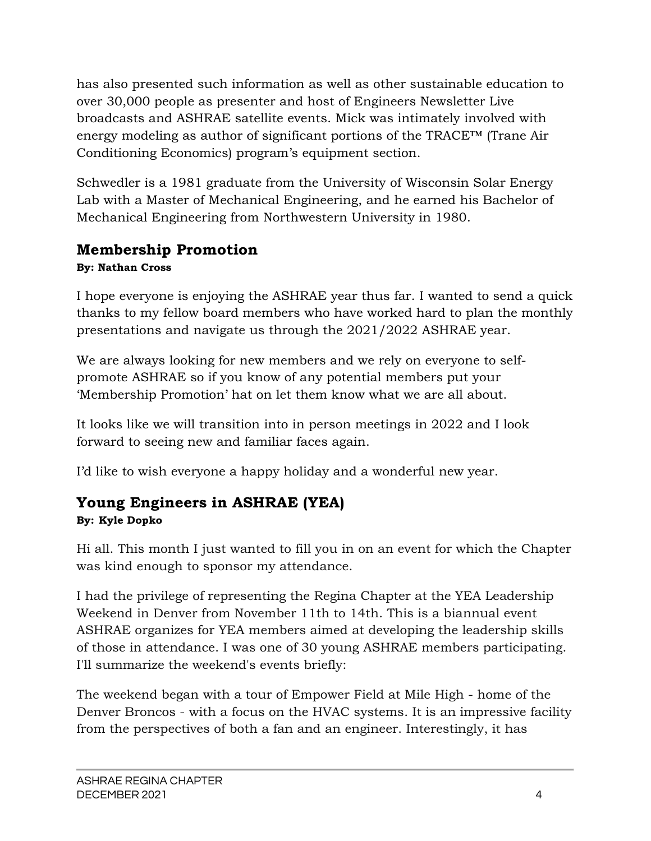has also presented such information as well as other sustainable education to over 30,000 people as presenter and host of Engineers Newsletter Live broadcasts and ASHRAE satellite events. Mick was intimately involved with energy modeling as author of significant portions of the TRACE™ (Trane Air Conditioning Economics) program's equipment section.

Schwedler is a 1981 graduate from the University of Wisconsin Solar Energy Lab with a Master of Mechanical Engineering, and he earned his Bachelor of Mechanical Engineering from Northwestern University in 1980.

# **Membership Promotion**

#### **By: Nathan Cross**

I hope everyone is enjoying the ASHRAE year thus far. I wanted to send a quick thanks to my fellow board members who have worked hard to plan the monthly presentations and navigate us through the 2021/2022 ASHRAE year.

We are always looking for new members and we rely on everyone to selfpromote ASHRAE so if you know of any potential members put your 'Membership Promotion' hat on let them know what we are all about.

It looks like we will transition into in person meetings in 2022 and I look forward to seeing new and familiar faces again.

I'd like to wish everyone a happy holiday and a wonderful new year.

# **Young Engineers in ASHRAE (YEA)**

#### **By: Kyle Dopko**

Hi all. This month I just wanted to fill you in on an event for which the Chapter was kind enough to sponsor my attendance.

I had the privilege of representing the Regina Chapter at the YEA Leadership Weekend in Denver from November 11th to 14th. This is a biannual event ASHRAE organizes for YEA members aimed at developing the leadership skills of those in attendance. I was one of 30 young ASHRAE members participating. I'll summarize the weekend's events briefly:

The weekend began with a tour of Empower Field at Mile High - home of the Denver Broncos - with a focus on the HVAC systems. It is an impressive facility from the perspectives of both a fan and an engineer. Interestingly, it has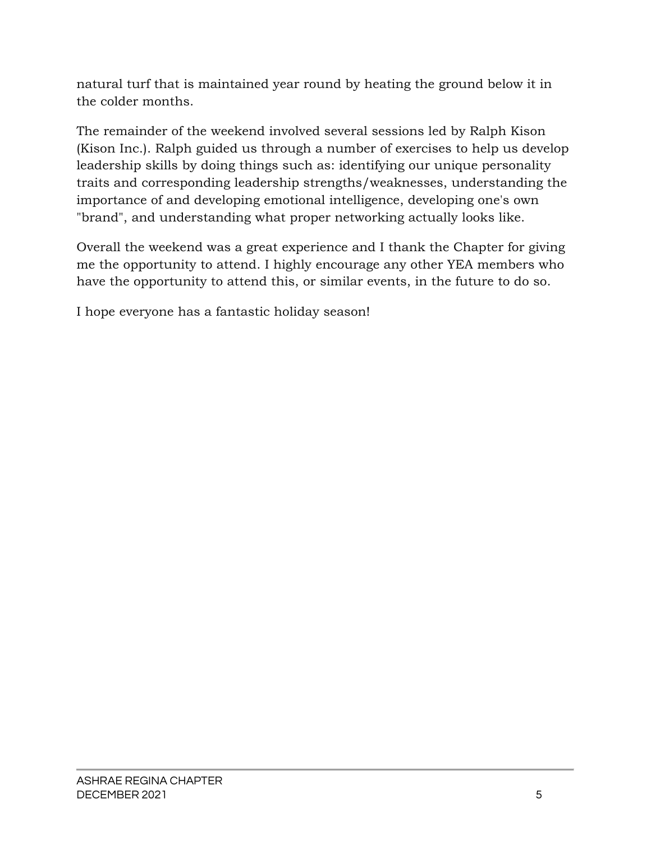natural turf that is maintained year round by heating the ground below it in the colder months.

The remainder of the weekend involved several sessions led by Ralph Kison (Kison Inc.). Ralph guided us through a number of exercises to help us develop leadership skills by doing things such as: identifying our unique personality traits and corresponding leadership strengths/weaknesses, understanding the importance of and developing emotional intelligence, developing one's own "brand", and understanding what proper networking actually looks like.

Overall the weekend was a great experience and I thank the Chapter for giving me the opportunity to attend. I highly encourage any other YEA members who have the opportunity to attend this, or similar events, in the future to do so.

I hope everyone has a fantastic holiday season!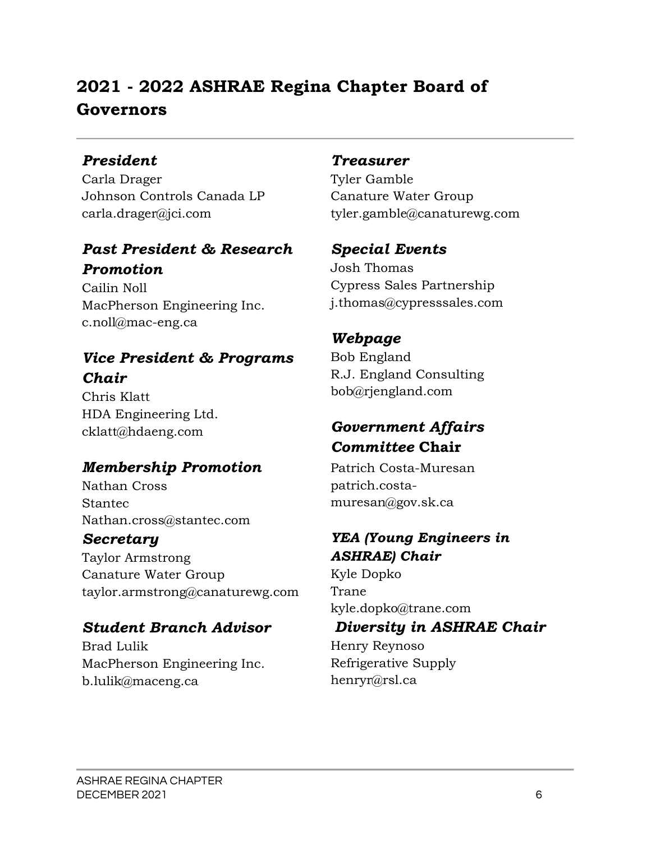# **2021 - 2022 ASHRAE Regina Chapter Board of Governors**

#### *President*

Carla Drager Johnson Controls Canada LP carla.drager@jci.com

#### *Past President & Research Promotion*

Cailin Noll MacPherson Engineering Inc. c.noll@mac-eng.ca

# *Vice President & Programs Chair*

Chris Klatt HDA Engineering Ltd. cklatt@hdaeng.com

## *Membership Promotion*

Nathan Cross Stantec Nathan.cross@stantec.com

#### *Secretary*

Taylor Armstrong Canature Water Group taylor.armstrong@canaturewg.com

## *Student Branch Advisor*

Brad Lulik MacPherson Engineering Inc. b.lulik@maceng.ca

#### *Treasurer*

Tyler Gamble Canature Water Group tyler.gamble@canaturewg.com

#### *Special Events*

Josh Thomas Cypress Sales Partnership j.thomas@cypresssales.com

# *Webpage*

Bob England R.J. England Consulting bob@rjengland.com

# *Government Affairs Committee* **Chair**

Patrich Costa-Muresan patrich.costamuresan@gov.sk.ca

## *YEA (Young Engineers in ASHRAE) Chair*

Kyle Dopko Trane kyle.dopko@trane.com

#### *Diversity in ASHRAE Chair*

Henry Reynoso Refrigerative Supply henryr@rsl.ca